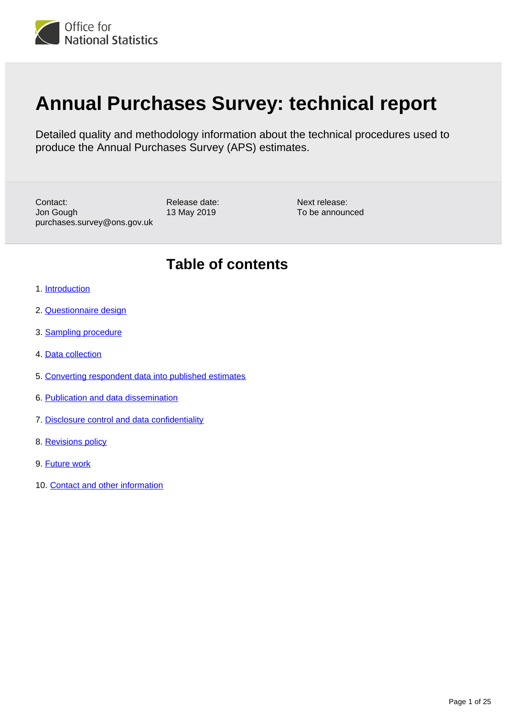<span id="page-0-0"></span>

# **Annual Purchases Survey: technical report**

Detailed quality and methodology information about the technical procedures used to produce the Annual Purchases Survey (APS) estimates.

Contact: Jon Gough purchases.survey@ons.gov.uk Release date: 13 May 2019

Next release: To be announced

## **Table of contents**

- 1. [Introduction](#page-1-0)
- 2. [Questionnaire design](#page-4-0)
- 3. [Sampling procedure](#page-6-0)
- 4. [Data collection](#page-12-0)
- 5. [Converting respondent data into published estimates](#page-13-0)
- 6. [Publication and data dissemination](#page-19-0)
- 7. [Disclosure control and data confidentiality](#page-20-0)
- 8. [Revisions policy](#page-23-0)
- 9. [Future work](#page-23-1)
- 10. [Contact and other information](#page-24-0)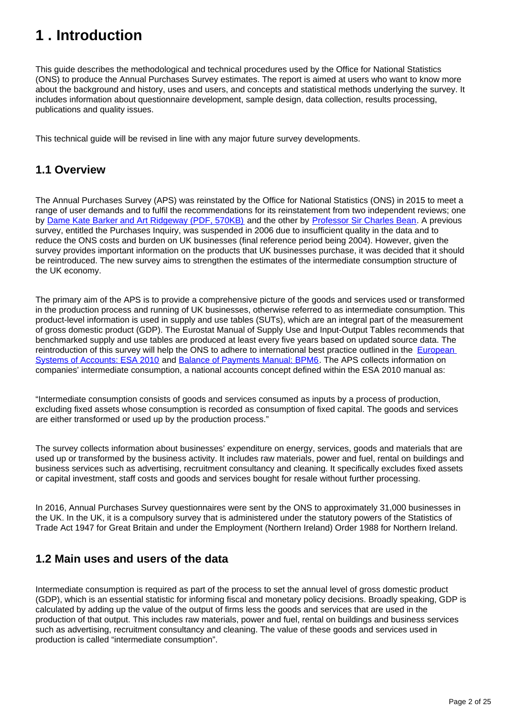## <span id="page-1-0"></span>**1 . Introduction**

This guide describes the methodological and technical procedures used by the Office for National Statistics (ONS) to produce the Annual Purchases Survey estimates. The report is aimed at users who want to know more about the background and history, uses and users, and concepts and statistical methods underlying the survey. It includes information about questionnaire development, sample design, data collection, results processing, publications and quality issues.

This technical guide will be revised in line with any major future survey developments.

## **1.1 Overview**

The Annual Purchases Survey (APS) was reinstated by the Office for National Statistics (ONS) in 2015 to meet a range of user demands and to fulfil the recommendations for its reinstatement from two independent reviews; one by [Dame Kate Barker and Art Ridgeway \(PDF, 570KB\)](http://www.ons.gov.uk/ons/guide-method/method-quality/quality/quality-reviews/list-of-current-national-statistics-quality-reviews/nsqr-series--2--report-no--2--review-of-national-accounts-and-balance-of-payments.pdf) and the other by [Professor Sir Charles Bean](https://www.gov.uk/government/publications/independent-review-of-uk-economic-statistics-final-report). A previous survey, entitled the Purchases Inquiry, was suspended in 2006 due to insufficient quality in the data and to reduce the ONS costs and burden on UK businesses (final reference period being 2004). However, given the survey provides important information on the products that UK businesses purchase, it was decided that it should be reintroduced. The new survey aims to strengthen the estimates of the intermediate consumption structure of the UK economy.

The primary aim of the APS is to provide a comprehensive picture of the goods and services used or transformed in the production process and running of UK businesses, otherwise referred to as intermediate consumption. This product-level information is used in supply and use tables (SUTs), which are an integral part of the measurement of gross domestic product (GDP). The Eurostat Manual of Supply Use and Input-Output Tables recommends that benchmarked supply and use tables are produced at least every five years based on updated source data. The reintroduction of this survey will help the ONS to adhere to international best practice outlined in the [European](http://ec.europa.eu/eurostat/web/esa-2010)  [Systems of Accounts: ESA 2010](http://ec.europa.eu/eurostat/web/esa-2010) and [Balance of Payments Manual: BPM6.](https://www.imf.org/external/pubs/ft/bop/2007/bop6comp.htm) The APS collects information on companies' intermediate consumption, a national accounts concept defined within the ESA 2010 manual as:

"Intermediate consumption consists of goods and services consumed as inputs by a process of production, excluding fixed assets whose consumption is recorded as consumption of fixed capital. The goods and services are either transformed or used up by the production process."

The survey collects information about businesses' expenditure on energy, services, goods and materials that are used up or transformed by the business activity. It includes raw materials, power and fuel, rental on buildings and business services such as advertising, recruitment consultancy and cleaning. It specifically excludes fixed assets or capital investment, staff costs and goods and services bought for resale without further processing.

In 2016, Annual Purchases Survey questionnaires were sent by the ONS to approximately 31,000 businesses in the UK. In the UK, it is a compulsory survey that is administered under the statutory powers of the Statistics of Trade Act 1947 for Great Britain and under the Employment (Northern Ireland) Order 1988 for Northern Ireland.

## **1.2 Main uses and users of the data**

Intermediate consumption is required as part of the process to set the annual level of gross domestic product (GDP), which is an essential statistic for informing fiscal and monetary policy decisions. Broadly speaking, GDP is calculated by adding up the value of the output of firms less the goods and services that are used in the production of that output. This includes raw materials, power and fuel, rental on buildings and business services such as advertising, recruitment consultancy and cleaning. The value of these goods and services used in production is called "intermediate consumption".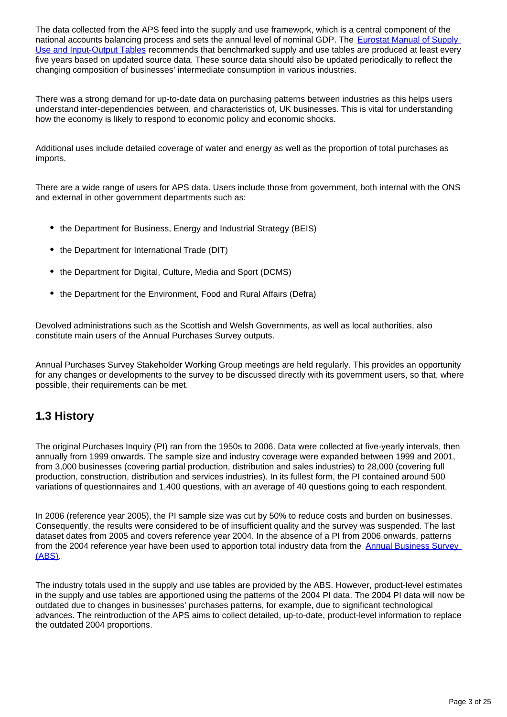The data collected from the APS feed into the supply and use framework, which is a central component of the national accounts balancing process and sets the annual level of nominal GDP. The Eurostat Manual of Supply [Use and Input-Output Tables](http://ec.europa.eu/eurostat/web/products-manuals-and-guidelines/-/KS-RA-07-013) recommends that benchmarked supply and use tables are produced at least every five years based on updated source data. These source data should also be updated periodically to reflect the changing composition of businesses' intermediate consumption in various industries.

There was a strong demand for up-to-date data on purchasing patterns between industries as this helps users understand inter-dependencies between, and characteristics of, UK businesses. This is vital for understanding how the economy is likely to respond to economic policy and economic shocks.

Additional uses include detailed coverage of water and energy as well as the proportion of total purchases as imports.

There are a wide range of users for APS data. Users include those from government, both internal with the ONS and external in other government departments such as:

- the Department for Business, Energy and Industrial Strategy (BEIS)
- the Department for International Trade (DIT)
- the Department for Digital, Culture, Media and Sport (DCMS)
- the Department for the Environment, Food and Rural Affairs (Defra)

Devolved administrations such as the Scottish and Welsh Governments, as well as local authorities, also constitute main users of the Annual Purchases Survey outputs.

Annual Purchases Survey Stakeholder Working Group meetings are held regularly. This provides an opportunity for any changes or developments to the survey to be discussed directly with its government users, so that, where possible, their requirements can be met.

## **1.3 History**

The original Purchases Inquiry (PI) ran from the 1950s to 2006. Data were collected at five-yearly intervals, then annually from 1999 onwards. The sample size and industry coverage were expanded between 1999 and 2001, from 3,000 businesses (covering partial production, distribution and sales industries) to 28,000 (covering full production, construction, distribution and services industries). In its fullest form, the PI contained around 500 variations of questionnaires and 1,400 questions, with an average of 40 questions going to each respondent.

In 2006 (reference year 2005), the PI sample size was cut by 50% to reduce costs and burden on businesses. Consequently, the results were considered to be of insufficient quality and the survey was suspended. The last dataset dates from 2005 and covers reference year 2004. In the absence of a PI from 2006 onwards, patterns from the 2004 reference year have been used to apportion total industry data from the Annual Business Survey [\(ABS\).](https://www.ons.gov.uk/businessindustryandtrade/business/businessservices/methodologies/annualbusinesssurveyabs)

The industry totals used in the supply and use tables are provided by the ABS. However, product-level estimates in the supply and use tables are apportioned using the patterns of the 2004 PI data. The 2004 PI data will now be outdated due to changes in businesses' purchases patterns, for example, due to significant technological advances. The reintroduction of the APS aims to collect detailed, up-to-date, product-level information to replace the outdated 2004 proportions.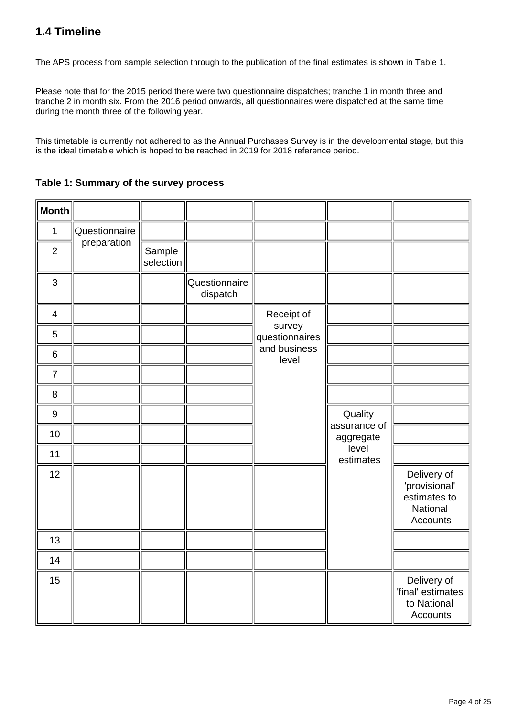## **1.4 Timeline**

The APS process from sample selection through to the publication of the final estimates is shown in Table 1.

Please note that for the 2015 period there were two questionnaire dispatches; tranche 1 in month three and tranche 2 in month six. From the 2016 period onwards, all questionnaires were dispatched at the same time during the month three of the following year.

This timetable is currently not adhered to as the Annual Purchases Survey is in the developmental stage, but this is the ideal timetable which is hoped to be reached in 2019 for 2018 reference period.

**Table 1: Summary of the survey process**

| <b>Month</b>            |               |                     |                           |                          |                           |                                                                      |
|-------------------------|---------------|---------------------|---------------------------|--------------------------|---------------------------|----------------------------------------------------------------------|
| $\mathbf 1$             | Questionnaire |                     |                           |                          |                           |                                                                      |
| $\overline{2}$          | preparation   | Sample<br>selection |                           |                          |                           |                                                                      |
| 3                       |               |                     | Questionnaire<br>dispatch |                          |                           |                                                                      |
| $\overline{\mathbf{4}}$ |               |                     |                           | Receipt of               |                           |                                                                      |
| 5                       |               |                     |                           | survey<br>questionnaires |                           |                                                                      |
| $\,6$                   |               |                     |                           | and business<br>level    |                           |                                                                      |
| $\overline{7}$          |               |                     |                           |                          |                           |                                                                      |
| 8                       |               |                     |                           |                          |                           |                                                                      |
| $\boldsymbol{9}$        |               |                     |                           |                          | Quality                   |                                                                      |
| 10                      |               |                     |                           |                          | assurance of<br>aggregate |                                                                      |
| 11                      |               |                     |                           |                          | level<br>estimates        |                                                                      |
| 12                      |               |                     |                           |                          |                           | Delivery of<br>'provisional'<br>estimates to<br>National<br>Accounts |
| 13                      |               |                     |                           |                          |                           |                                                                      |
| 14                      |               |                     |                           |                          |                           |                                                                      |
| 15                      |               |                     |                           |                          |                           | Delivery of<br>'final' estimates<br>to National<br>Accounts          |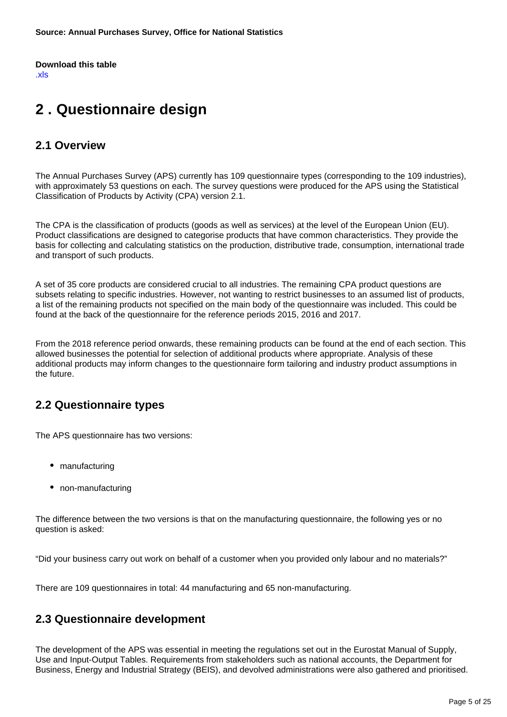**Download this table** [.xls](https://www.ons.gov.uk/file?uri=/businessindustryandtrade/business/businessservices/methodologies/annualpurchasessurveytechnicalreport/table1.1.xlsx)

## <span id="page-4-0"></span>**2 . Questionnaire design**

## **2.1 Overview**

The Annual Purchases Survey (APS) currently has 109 questionnaire types (corresponding to the 109 industries), with approximately 53 questions on each. The survey questions were produced for the APS using the Statistical Classification of Products by Activity (CPA) version 2.1.

The CPA is the classification of products (goods as well as services) at the level of the European Union (EU). Product classifications are designed to categorise products that have common characteristics. They provide the basis for collecting and calculating statistics on the production, distributive trade, consumption, international trade and transport of such products.

A set of 35 core products are considered crucial to all industries. The remaining CPA product questions are subsets relating to specific industries. However, not wanting to restrict businesses to an assumed list of products, a list of the remaining products not specified on the main body of the questionnaire was included. This could be found at the back of the questionnaire for the reference periods 2015, 2016 and 2017.

From the 2018 reference period onwards, these remaining products can be found at the end of each section. This allowed businesses the potential for selection of additional products where appropriate. Analysis of these additional products may inform changes to the questionnaire form tailoring and industry product assumptions in the future.

## **2.2 Questionnaire types**

The APS questionnaire has two versions:

- manufacturing
- non-manufacturing

The difference between the two versions is that on the manufacturing questionnaire, the following yes or no question is asked:

"Did your business carry out work on behalf of a customer when you provided only labour and no materials?"

There are 109 questionnaires in total: 44 manufacturing and 65 non-manufacturing.

## **2.3 Questionnaire development**

The development of the APS was essential in meeting the regulations set out in the Eurostat Manual of Supply, Use and Input-Output Tables. Requirements from stakeholders such as national accounts, the Department for Business, Energy and Industrial Strategy (BEIS), and devolved administrations were also gathered and prioritised.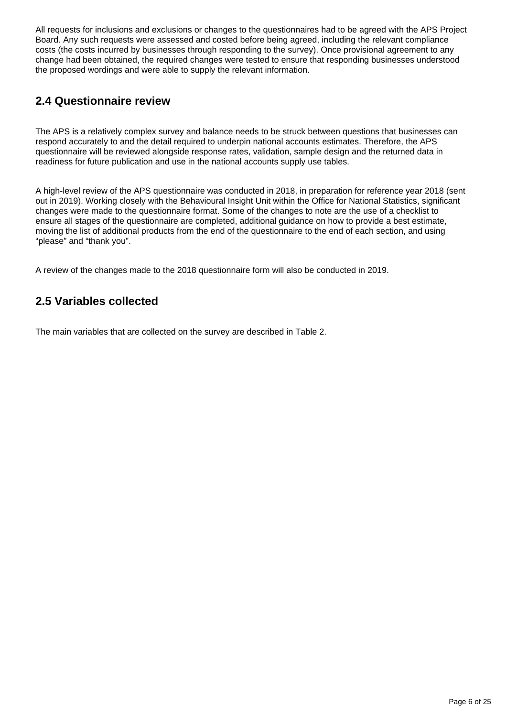All requests for inclusions and exclusions or changes to the questionnaires had to be agreed with the APS Project Board. Any such requests were assessed and costed before being agreed, including the relevant compliance costs (the costs incurred by businesses through responding to the survey). Once provisional agreement to any change had been obtained, the required changes were tested to ensure that responding businesses understood the proposed wordings and were able to supply the relevant information.

## **2.4 Questionnaire review**

The APS is a relatively complex survey and balance needs to be struck between questions that businesses can respond accurately to and the detail required to underpin national accounts estimates. Therefore, the APS questionnaire will be reviewed alongside response rates, validation, sample design and the returned data in readiness for future publication and use in the national accounts supply use tables.

A high-level review of the APS questionnaire was conducted in 2018, in preparation for reference year 2018 (sent out in 2019). Working closely with the Behavioural Insight Unit within the Office for National Statistics, significant changes were made to the questionnaire format. Some of the changes to note are the use of a checklist to ensure all stages of the questionnaire are completed, additional guidance on how to provide a best estimate, moving the list of additional products from the end of the questionnaire to the end of each section, and using "please" and "thank you".

A review of the changes made to the 2018 questionnaire form will also be conducted in 2019.

## **2.5 Variables collected**

The main variables that are collected on the survey are described in Table 2.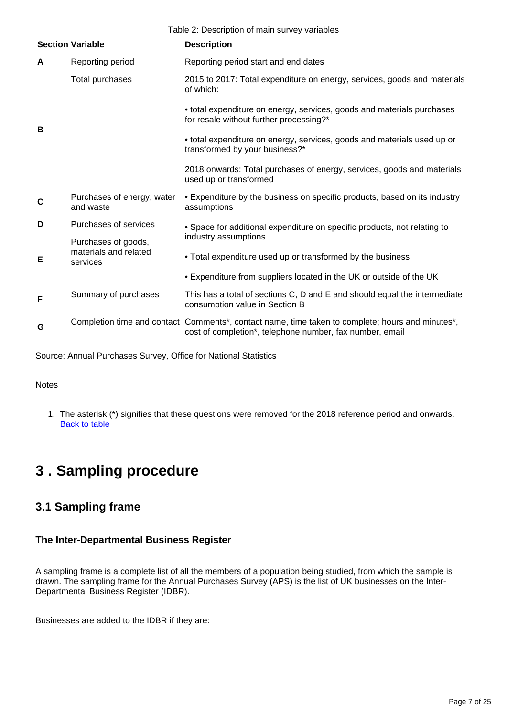| Table 2: Description of main survey variables |                                         |                                                                                                                                                                |  |  |  |
|-----------------------------------------------|-----------------------------------------|----------------------------------------------------------------------------------------------------------------------------------------------------------------|--|--|--|
|                                               | <b>Section Variable</b>                 | <b>Description</b>                                                                                                                                             |  |  |  |
| A                                             | Reporting period                        | Reporting period start and end dates                                                                                                                           |  |  |  |
| B                                             | Total purchases                         | 2015 to 2017: Total expenditure on energy, services, goods and materials<br>of which:                                                                          |  |  |  |
|                                               |                                         | • total expenditure on energy, services, goods and materials purchases<br>for resale without further processing?*                                              |  |  |  |
|                                               |                                         | • total expenditure on energy, services, goods and materials used up or<br>transformed by your business?*                                                      |  |  |  |
|                                               |                                         | 2018 onwards: Total purchases of energy, services, goods and materials<br>used up or transformed                                                               |  |  |  |
| C                                             | Purchases of energy, water<br>and waste | • Expenditure by the business on specific products, based on its industry<br>assumptions                                                                       |  |  |  |
| D                                             | Purchases of services                   | · Space for additional expenditure on specific products, not relating to<br>industry assumptions<br>• Total expenditure used up or transformed by the business |  |  |  |
|                                               | Purchases of goods,                     |                                                                                                                                                                |  |  |  |
| Е                                             | materials and related<br>services       |                                                                                                                                                                |  |  |  |
|                                               |                                         | . Expenditure from suppliers located in the UK or outside of the UK                                                                                            |  |  |  |
| F                                             | Summary of purchases                    | This has a total of sections C, D and E and should equal the intermediate<br>consumption value in Section B                                                    |  |  |  |
| G                                             |                                         | Completion time and contact Comments*, contact name, time taken to complete; hours and minutes*,<br>cost of completion*, telephone number, fax number, email   |  |  |  |
|                                               |                                         |                                                                                                                                                                |  |  |  |

Source: Annual Purchases Survey, Office for National Statistics

#### **Notes**

1. The asterisk (\*) signifies that these questions were removed for the 2018 reference period and onwards. **[Back to table](#page-0-0)** 

## <span id="page-6-0"></span>**3 . Sampling procedure**

### **3.1 Sampling frame**

#### **The Inter-Departmental Business Register**

A sampling frame is a complete list of all the members of a population being studied, from which the sample is drawn. The sampling frame for the Annual Purchases Survey (APS) is the list of UK businesses on the Inter-Departmental Business Register (IDBR).

Businesses are added to the IDBR if they are: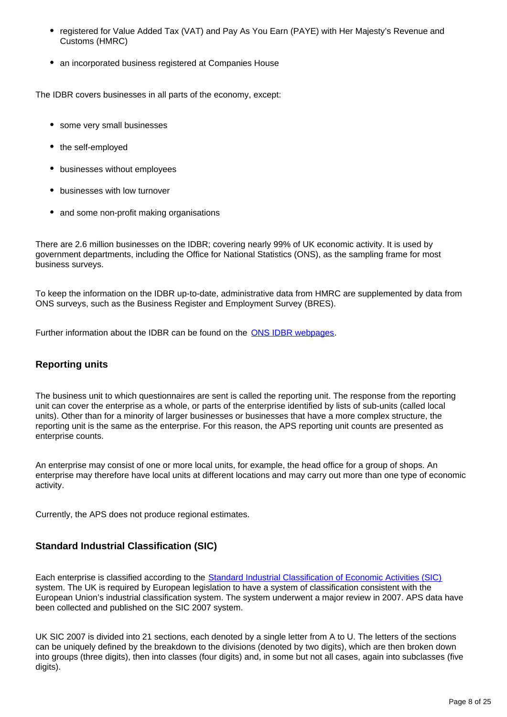- registered for Value Added Tax (VAT) and Pay As You Earn (PAYE) with Her Majesty's Revenue and Customs (HMRC)
- an incorporated business registered at Companies House

The IDBR covers businesses in all parts of the economy, except:

- some very small businesses
- the self-employed
- businesses without employees
- businesses with low turnover
- and some non-profit making organisations

There are 2.6 million businesses on the IDBR; covering nearly 99% of UK economic activity. It is used by government departments, including the Office for National Statistics (ONS), as the sampling frame for most business surveys.

To keep the information on the IDBR up-to-date, administrative data from HMRC are supplemented by data from ONS surveys, such as the Business Register and Employment Survey (BRES).

Further information about the IDBR can be found on the [ONS IDBR webpages.](https://www.ons.gov.uk/aboutus/whatwedo/paidservices/interdepartmentalbusinessregisteridbr)

#### **Reporting units**

The business unit to which questionnaires are sent is called the reporting unit. The response from the reporting unit can cover the enterprise as a whole, or parts of the enterprise identified by lists of sub-units (called local units). Other than for a minority of larger businesses or businesses that have a more complex structure, the reporting unit is the same as the enterprise. For this reason, the APS reporting unit counts are presented as enterprise counts.

An enterprise may consist of one or more local units, for example, the head office for a group of shops. An enterprise may therefore have local units at different locations and may carry out more than one type of economic activity.

Currently, the APS does not produce regional estimates.

#### **Standard Industrial Classification (SIC)**

Each enterprise is classified according to the [Standard Industrial Classification of Economic Activities \(SIC\)](https://www.ons.gov.uk/methodology/classificationsandstandards/ukstandardindustrialclassificationofeconomicactivities/uksic2007) system. The UK is required by European legislation to have a system of classification consistent with the European Union's industrial classification system. The system underwent a major review in 2007. APS data have been collected and published on the SIC 2007 system.

UK SIC 2007 is divided into 21 sections, each denoted by a single letter from A to U. The letters of the sections can be uniquely defined by the breakdown to the divisions (denoted by two digits), which are then broken down into groups (three digits), then into classes (four digits) and, in some but not all cases, again into subclasses (five digits).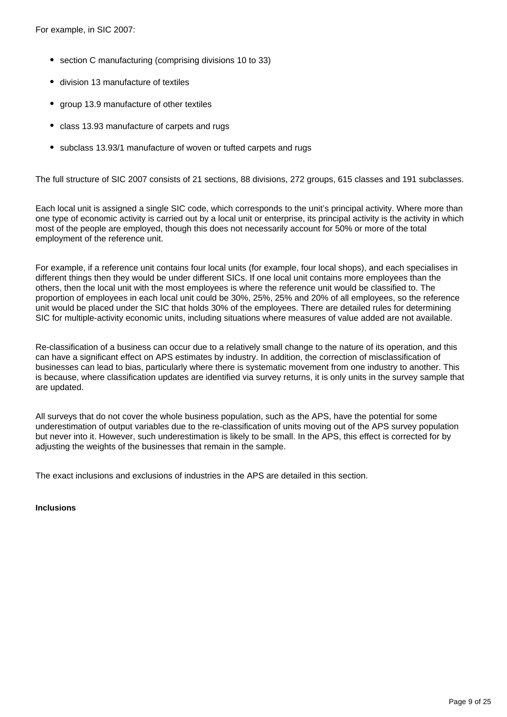For example, in SIC 2007:

- section C manufacturing (comprising divisions 10 to 33)
- division 13 manufacture of textiles
- group 13.9 manufacture of other textiles
- class 13.93 manufacture of carpets and rugs
- subclass 13.93/1 manufacture of woven or tufted carpets and rugs

The full structure of SIC 2007 consists of 21 sections, 88 divisions, 272 groups, 615 classes and 191 subclasses.

Each local unit is assigned a single SIC code, which corresponds to the unit's principal activity. Where more than one type of economic activity is carried out by a local unit or enterprise, its principal activity is the activity in which most of the people are employed, though this does not necessarily account for 50% or more of the total employment of the reference unit.

For example, if a reference unit contains four local units (for example, four local shops), and each specialises in different things then they would be under different SICs. If one local unit contains more employees than the others, then the local unit with the most employees is where the reference unit would be classified to. The proportion of employees in each local unit could be 30%, 25%, 25% and 20% of all employees, so the reference unit would be placed under the SIC that holds 30% of the employees. There are detailed rules for determining SIC for multiple-activity economic units, including situations where measures of value added are not available.

Re-classification of a business can occur due to a relatively small change to the nature of its operation, and this can have a significant effect on APS estimates by industry. In addition, the correction of misclassification of businesses can lead to bias, particularly where there is systematic movement from one industry to another. This is because, where classification updates are identified via survey returns, it is only units in the survey sample that are updated.

All surveys that do not cover the whole business population, such as the APS, have the potential for some underestimation of output variables due to the re-classification of units moving out of the APS survey population but never into it. However, such underestimation is likely to be small. In the APS, this effect is corrected for by adjusting the weights of the businesses that remain in the sample.

The exact inclusions and exclusions of industries in the APS are detailed in this section.

**Inclusions**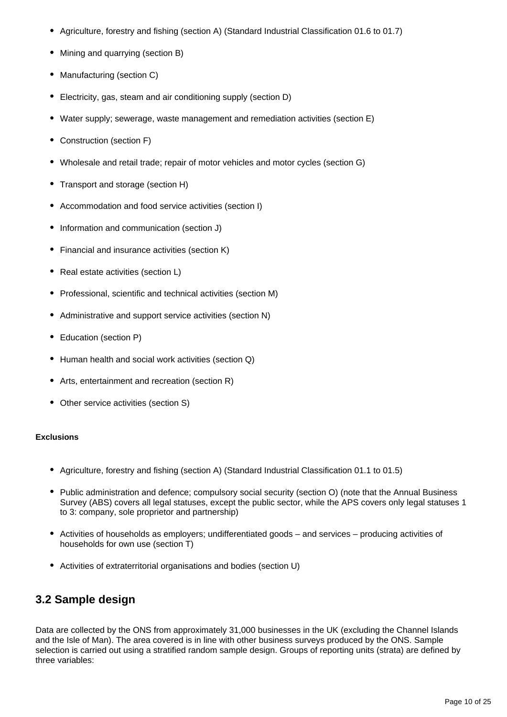- Agriculture, forestry and fishing (section A) (Standard Industrial Classification 01.6 to 01.7)
- Mining and quarrying (section B)
- Manufacturing (section C)
- Electricity, gas, steam and air conditioning supply (section D)  $\bullet$
- Water supply; sewerage, waste management and remediation activities (section E)
- Construction (section F)
- Wholesale and retail trade; repair of motor vehicles and motor cycles (section G)
- Transport and storage (section H)
- Accommodation and food service activities (section I)
- Information and communication (section J)
- Financial and insurance activities (section K)
- Real estate activities (section L)
- Professional, scientific and technical activities (section M)
- Administrative and support service activities (section N)
- Education (section P)
- Human health and social work activities (section Q)
- Arts, entertainment and recreation (section R)
- Other service activities (section S)

#### **Exclusions**

- Agriculture, forestry and fishing (section A) (Standard Industrial Classification 01.1 to 01.5)
- Public administration and defence; compulsory social security (section O) (note that the Annual Business Survey (ABS) covers all legal statuses, except the public sector, while the APS covers only legal statuses 1 to 3: company, sole proprietor and partnership)
- Activities of households as employers; undifferentiated goods and services producing activities of households for own use (section T)
- Activities of extraterritorial organisations and bodies (section U)

## **3.2 Sample design**

Data are collected by the ONS from approximately 31,000 businesses in the UK (excluding the Channel Islands and the Isle of Man). The area covered is in line with other business surveys produced by the ONS. Sample selection is carried out using a stratified random sample design. Groups of reporting units (strata) are defined by three variables: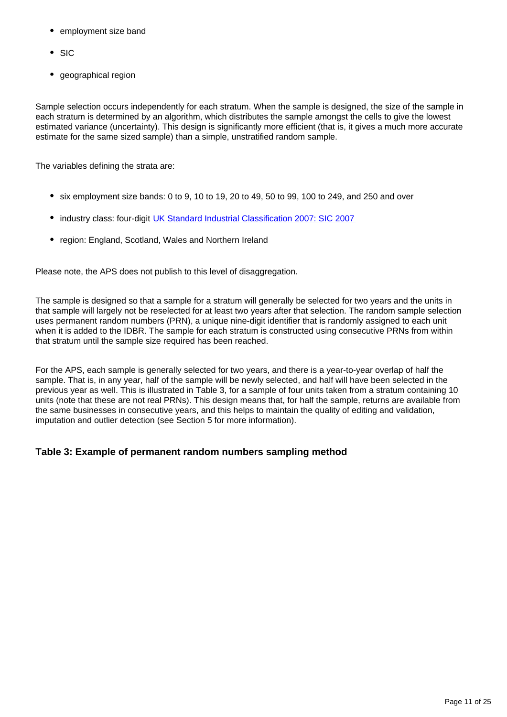- employment size band
- SIC
- geographical region

Sample selection occurs independently for each stratum. When the sample is designed, the size of the sample in each stratum is determined by an algorithm, which distributes the sample amongst the cells to give the lowest estimated variance (uncertainty). This design is significantly more efficient (that is, it gives a much more accurate estimate for the same sized sample) than a simple, unstratified random sample.

The variables defining the strata are:

- $\bullet$  six employment size bands: 0 to 9, 10 to 19, 20 to 49, 50 to 99, 100 to 249, and 250 and over
- industry class: four-digit [UK Standard Industrial Classification 2007: SIC 2007](https://www.ons.gov.uk/methodology/classificationsandstandards/ukstandardindustrialclassificationofeconomicactivities/uksic2007)
- region: England, Scotland, Wales and Northern Ireland

Please note, the APS does not publish to this level of disaggregation.

The sample is designed so that a sample for a stratum will generally be selected for two years and the units in that sample will largely not be reselected for at least two years after that selection. The random sample selection uses permanent random numbers (PRN), a unique nine-digit identifier that is randomly assigned to each unit when it is added to the IDBR. The sample for each stratum is constructed using consecutive PRNs from within that stratum until the sample size required has been reached.

For the APS, each sample is generally selected for two years, and there is a year-to-year overlap of half the sample. That is, in any year, half of the sample will be newly selected, and half will have been selected in the previous year as well. This is illustrated in Table 3, for a sample of four units taken from a stratum containing 10 units (note that these are not real PRNs). This design means that, for half the sample, returns are available from the same businesses in consecutive years, and this helps to maintain the quality of editing and validation, imputation and outlier detection (see Section 5 for more information).

#### **Table 3: Example of permanent random numbers sampling method**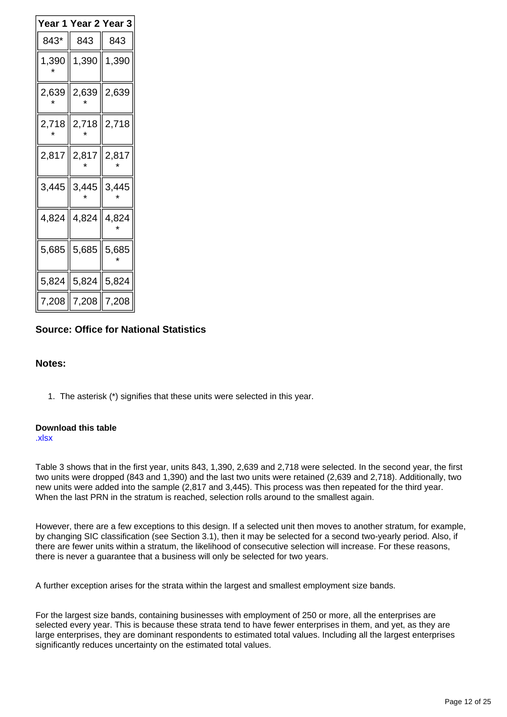| Year 2 Year 3<br>Ƴear 1 |                                             |                |  |  |  |
|-------------------------|---------------------------------------------|----------------|--|--|--|
| 843*                    | 843                                         | - 843          |  |  |  |
| 1,390                   |                                             | 1,390    1,390 |  |  |  |
|                         | 2,639    2,639    2,639                     |                |  |  |  |
|                         | $2,718$   2,718   2,718                     |                |  |  |  |
| 2,817∥                  | $2,817$ 2,817                               |                |  |  |  |
|                         | $3,445$ $\parallel$ 3,445 $\parallel$ 3,445 |                |  |  |  |
|                         | 4,824   4,824   4,824                       |                |  |  |  |
|                         | $5,685$ $\parallel$ 5,685 $\parallel$ 5,685 |                |  |  |  |
|                         | $5,824$   5,824   5,824                     |                |  |  |  |
| 7,208                   | $\parallel$ 7,208                           | ∥ 7,208        |  |  |  |

#### **Source: Office for National Statistics**

#### **Notes:**

1. The asterisk (\*) signifies that these units were selected in this year.

#### **Download this table**

[.xlsx](https://www.ons.gov.uk/file?uri=/businessindustryandtrade/business/businessservices/methodologies/annualpurchasessurveytechnicalreport/table3.xlsx)

Table 3 shows that in the first year, units 843, 1,390, 2,639 and 2,718 were selected. In the second year, the first two units were dropped (843 and 1,390) and the last two units were retained (2,639 and 2,718). Additionally, two new units were added into the sample (2,817 and 3,445). This process was then repeated for the third year. When the last PRN in the stratum is reached, selection rolls around to the smallest again.

However, there are a few exceptions to this design. If a selected unit then moves to another stratum, for example, by changing SIC classification (see Section 3.1), then it may be selected for a second two-yearly period. Also, if there are fewer units within a stratum, the likelihood of consecutive selection will increase. For these reasons, there is never a guarantee that a business will only be selected for two years.

A further exception arises for the strata within the largest and smallest employment size bands.

For the largest size bands, containing businesses with employment of 250 or more, all the enterprises are selected every year. This is because these strata tend to have fewer enterprises in them, and yet, as they are large enterprises, they are dominant respondents to estimated total values. Including all the largest enterprises significantly reduces uncertainty on the estimated total values.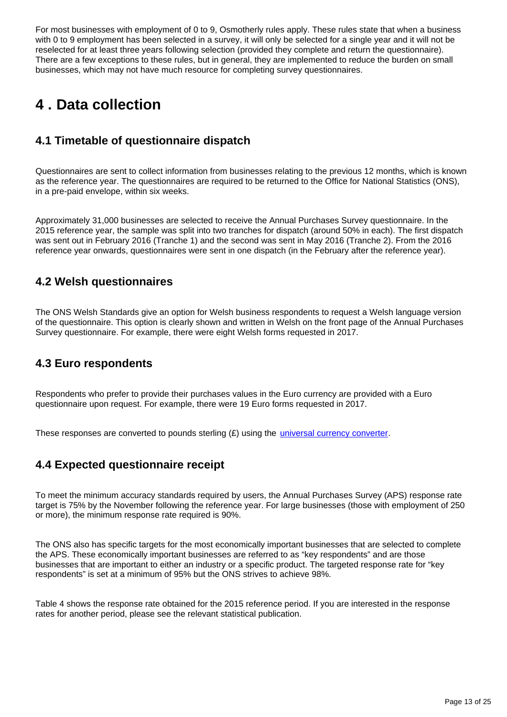For most businesses with employment of 0 to 9, Osmotherly rules apply. These rules state that when a business with 0 to 9 employment has been selected in a survey, it will only be selected for a single year and it will not be reselected for at least three years following selection (provided they complete and return the questionnaire). There are a few exceptions to these rules, but in general, they are implemented to reduce the burden on small businesses, which may not have much resource for completing survey questionnaires.

## <span id="page-12-0"></span>**4 . Data collection**

## **4.1 Timetable of questionnaire dispatch**

Questionnaires are sent to collect information from businesses relating to the previous 12 months, which is known as the reference year. The questionnaires are required to be returned to the Office for National Statistics (ONS), in a pre-paid envelope, within six weeks.

Approximately 31,000 businesses are selected to receive the Annual Purchases Survey questionnaire. In the 2015 reference year, the sample was split into two tranches for dispatch (around 50% in each). The first dispatch was sent out in February 2016 (Tranche 1) and the second was sent in May 2016 (Tranche 2). From the 2016 reference year onwards, questionnaires were sent in one dispatch (in the February after the reference year).

## **4.2 Welsh questionnaires**

The ONS Welsh Standards give an option for Welsh business respondents to request a Welsh language version of the questionnaire. This option is clearly shown and written in Welsh on the front page of the Annual Purchases Survey questionnaire. For example, there were eight Welsh forms requested in 2017.

## **4.3 Euro respondents**

Respondents who prefer to provide their purchases values in the Euro currency are provided with a Euro questionnaire upon request. For example, there were 19 Euro forms requested in 2017.

These responses are converted to pounds sterling  $(E)$  using the *[universal currency converter](http://www.xe.com/)*.

## **4.4 Expected questionnaire receipt**

To meet the minimum accuracy standards required by users, the Annual Purchases Survey (APS) response rate target is 75% by the November following the reference year. For large businesses (those with employment of 250 or more), the minimum response rate required is 90%.

The ONS also has specific targets for the most economically important businesses that are selected to complete the APS. These economically important businesses are referred to as "key respondents" and are those businesses that are important to either an industry or a specific product. The targeted response rate for "key respondents" is set at a minimum of 95% but the ONS strives to achieve 98%.

Table 4 shows the response rate obtained for the 2015 reference period. If you are interested in the response rates for another period, please see the relevant statistical publication.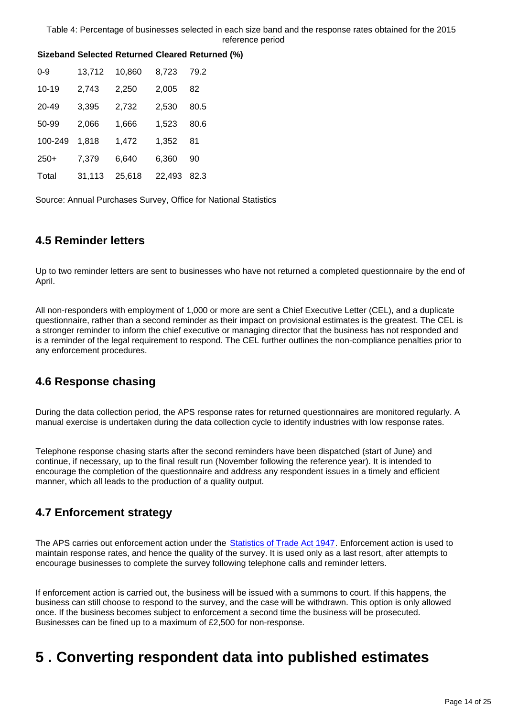| $0 - 9$   | 13,712 | 10,860 | 8,723  | 79.2 |  |
|-----------|--------|--------|--------|------|--|
| $10 - 19$ | 2,743  | 2,250  | 2,005  | 82   |  |
| 20-49     | 3,395  | 2,732  | 2,530  | 80.5 |  |
| 50-99     | 2,066  | 1,666  | 1,523  | 80.6 |  |
| 100-249   | 1.818  | 1,472  | 1,352  | 81   |  |
| $250+$    | 7,379  | 6,640  | 6,360  | 90   |  |
| Total     | 31.113 | 25.618 | 22.493 | 82.3 |  |

#### **Sizeband Selected Returned Cleared Returned (%)**

Source: Annual Purchases Survey, Office for National Statistics

## **4.5 Reminder letters**

Up to two reminder letters are sent to businesses who have not returned a completed questionnaire by the end of April.

All non-responders with employment of 1,000 or more are sent a Chief Executive Letter (CEL), and a duplicate questionnaire, rather than a second reminder as their impact on provisional estimates is the greatest. The CEL is a stronger reminder to inform the chief executive or managing director that the business has not responded and is a reminder of the legal requirement to respond. The CEL further outlines the non-compliance penalties prior to any enforcement procedures.

## **4.6 Response chasing**

During the data collection period, the APS response rates for returned questionnaires are monitored regularly. A manual exercise is undertaken during the data collection cycle to identify industries with low response rates.

Telephone response chasing starts after the second reminders have been dispatched (start of June) and continue, if necessary, up to the final result run (November following the reference year). It is intended to encourage the completion of the questionnaire and address any respondent issues in a timely and efficient manner, which all leads to the production of a quality output.

## **4.7 Enforcement strategy**

The APS carries out enforcement action under the **Statistics of Trade Act 1947**. Enforcement action is used to maintain response rates, and hence the quality of the survey. It is used only as a last resort, after attempts to encourage businesses to complete the survey following telephone calls and reminder letters.

If enforcement action is carried out, the business will be issued with a summons to court. If this happens, the business can still choose to respond to the survey, and the case will be withdrawn. This option is only allowed once. If the business becomes subject to enforcement a second time the business will be prosecuted. Businesses can be fined up to a maximum of £2,500 for non-response.

## <span id="page-13-0"></span>**5 . Converting respondent data into published estimates**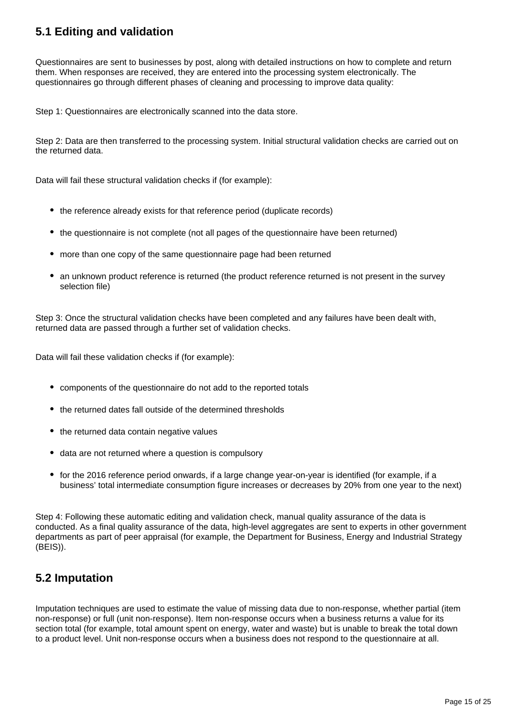## **5.1 Editing and validation**

Questionnaires are sent to businesses by post, along with detailed instructions on how to complete and return them. When responses are received, they are entered into the processing system electronically. The questionnaires go through different phases of cleaning and processing to improve data quality:

Step 1: Questionnaires are electronically scanned into the data store.

Step 2: Data are then transferred to the processing system. Initial structural validation checks are carried out on the returned data.

Data will fail these structural validation checks if (for example):

- the reference already exists for that reference period (duplicate records)
- the questionnaire is not complete (not all pages of the questionnaire have been returned)
- more than one copy of the same questionnaire page had been returned
- an unknown product reference is returned (the product reference returned is not present in the survey selection file)

Step 3: Once the structural validation checks have been completed and any failures have been dealt with, returned data are passed through a further set of validation checks.

Data will fail these validation checks if (for example):

- components of the questionnaire do not add to the reported totals
- the returned dates fall outside of the determined thresholds
- the returned data contain negative values
- data are not returned where a question is compulsory
- for the 2016 reference period onwards, if a large change year-on-year is identified (for example, if a business' total intermediate consumption figure increases or decreases by 20% from one year to the next)

Step 4: Following these automatic editing and validation check, manual quality assurance of the data is conducted. As a final quality assurance of the data, high-level aggregates are sent to experts in other government departments as part of peer appraisal (for example, the Department for Business, Energy and Industrial Strategy (BEIS)).

## **5.2 Imputation**

Imputation techniques are used to estimate the value of missing data due to non-response, whether partial (item non-response) or full (unit non-response). Item non-response occurs when a business returns a value for its section total (for example, total amount spent on energy, water and waste) but is unable to break the total down to a product level. Unit non-response occurs when a business does not respond to the questionnaire at all.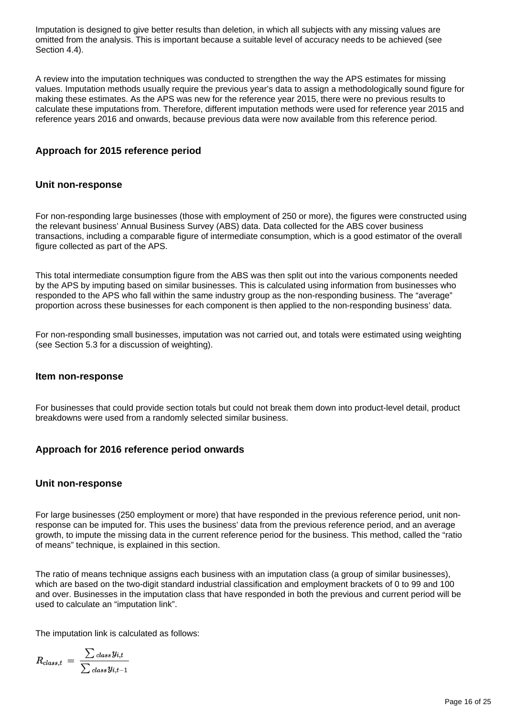Imputation is designed to give better results than deletion, in which all subjects with any missing values are omitted from the analysis. This is important because a suitable level of accuracy needs to be achieved (see Section 4.4).

A review into the imputation techniques was conducted to strengthen the way the APS estimates for missing values. Imputation methods usually require the previous year's data to assign a methodologically sound figure for making these estimates. As the APS was new for the reference year 2015, there were no previous results to calculate these imputations from. Therefore, different imputation methods were used for reference year 2015 and reference years 2016 and onwards, because previous data were now available from this reference period.

#### **Approach for 2015 reference period**

#### **Unit non-response**

For non-responding large businesses (those with employment of 250 or more), the figures were constructed using the relevant business' Annual Business Survey (ABS) data. Data collected for the ABS cover business transactions, including a comparable figure of intermediate consumption, which is a good estimator of the overall figure collected as part of the APS.

This total intermediate consumption figure from the ABS was then split out into the various components needed by the APS by imputing based on similar businesses. This is calculated using information from businesses who responded to the APS who fall within the same industry group as the non-responding business. The "average" proportion across these businesses for each component is then applied to the non-responding business' data.

For non-responding small businesses, imputation was not carried out, and totals were estimated using weighting (see Section 5.3 for a discussion of weighting).

#### **Item non-response**

For businesses that could provide section totals but could not break them down into product-level detail, product breakdowns were used from a randomly selected similar business.

#### **Approach for 2016 reference period onwards**

#### **Unit non-response**

For large businesses (250 employment or more) that have responded in the previous reference period, unit nonresponse can be imputed for. This uses the business' data from the previous reference period, and an average growth, to impute the missing data in the current reference period for the business. This method, called the "ratio of means" technique, is explained in this section.

The ratio of means technique assigns each business with an imputation class (a group of similar businesses), which are based on the two-digit standard industrial classification and employment brackets of 0 to 99 and 100 and over. Businesses in the imputation class that have responded in both the previous and current period will be used to calculate an "imputation link".

The imputation link is calculated as follows:

$$
R_{class,t}\ =\ \frac{\sum \textit{class }y_{i,t}}{\sum \textit{class }y_{i,t-1}}
$$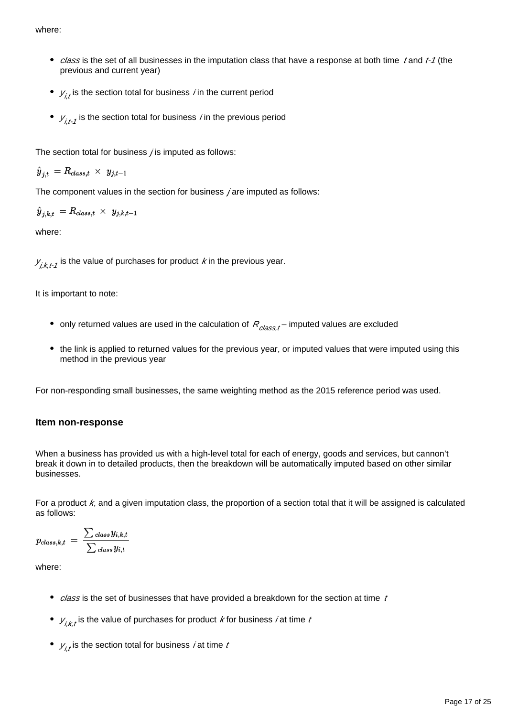where:

- class is the set of all businesses in the imputation class that have a response at both time t and t-1 (the previous and current year)
- $y_{i,t}^{\vphantom{\dagger}}$  is the section total for business *i* in the current period
- $V_{i,t}$  is the section total for business *i* in the previous period

The section total for business  $\chi$  is imputed as follows:

$$
{\hat y}_{j,t} \, = R_{class,t} \, \times \, \, y_{j,t-1}
$$

The component values in the section for business *i* are imputed as follows:

$$
{\hat y}_{j,k,t} \, = R_{class,t} \, \times \, \, y_{j,k,t-1}
$$

where:

 $\mathcal{Y}_{j,k,t\text{-}1}$  is the value of purchases for product  $\mathit{k}$  in the previous year.

It is important to note:

- only returned values are used in the calculation of  $R_{class,t}$  imputed values are excluded
- the link is applied to returned values for the previous year, or imputed values that were imputed using this method in the previous year

For non-responding small businesses, the same weighting method as the 2015 reference period was used.

#### **Item non-response**

When a business has provided us with a high-level total for each of energy, goods and services, but cannon't break it down in to detailed products, then the breakdown will be automatically imputed based on other similar businesses.

For a product  $k$ , and a given imputation class, the proportion of a section total that it will be assigned is calculated as follows:

$$
p_{class,k,t} \ = \ \frac{\sum \textit{class } y_{i,k,t}}{\sum \textit{class } y_{i,t}}
$$

where:

- $\bullet$  class is the set of businesses that have provided a breakdown for the section at time t
- $V_{i,k,t}$  is the value of purchases for product  $k$  for business  $i$  at time  $t$
- $V_{i,t}$ is the section total for business *i* at time *t*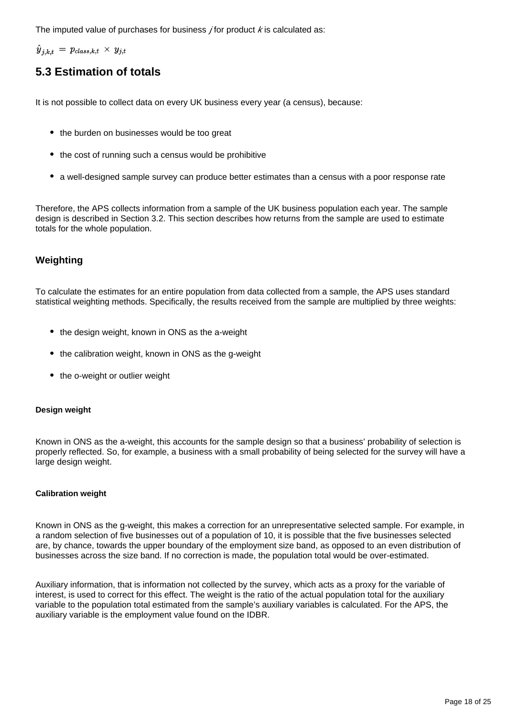The imputed value of purchases for business *j* for product  $k$  is calculated as:

 $\hat{y}_{j,k,t} = p_{class,k,t} \times y_{j,t}$ 

## **5.3 Estimation of totals**

It is not possible to collect data on every UK business every year (a census), because:

- the burden on businesses would be too great
- the cost of running such a census would be prohibitive
- a well-designed sample survey can produce better estimates than a census with a poor response rate

Therefore, the APS collects information from a sample of the UK business population each year. The sample design is described in Section 3.2. This section describes how returns from the sample are used to estimate totals for the whole population.

#### **Weighting**

To calculate the estimates for an entire population from data collected from a sample, the APS uses standard statistical weighting methods. Specifically, the results received from the sample are multiplied by three weights:

- the design weight, known in ONS as the a-weight
- the calibration weight, known in ONS as the g-weight
- the o-weight or outlier weight

#### **Design weight**

Known in ONS as the a-weight, this accounts for the sample design so that a business' probability of selection is properly reflected. So, for example, a business with a small probability of being selected for the survey will have a large design weight.

#### **Calibration weight**

Known in ONS as the g-weight, this makes a correction for an unrepresentative selected sample. For example, in a random selection of five businesses out of a population of 10, it is possible that the five businesses selected are, by chance, towards the upper boundary of the employment size band, as opposed to an even distribution of businesses across the size band. If no correction is made, the population total would be over-estimated.

Auxiliary information, that is information not collected by the survey, which acts as a proxy for the variable of interest, is used to correct for this effect. The weight is the ratio of the actual population total for the auxiliary variable to the population total estimated from the sample's auxiliary variables is calculated. For the APS, the auxiliary variable is the employment value found on the IDBR.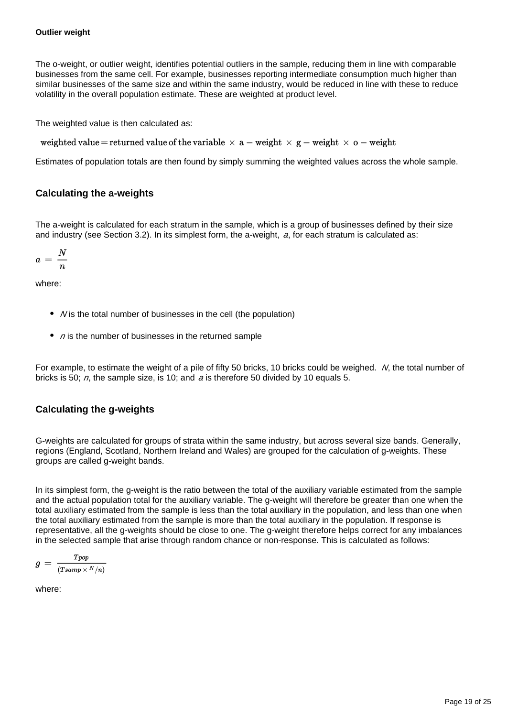The o-weight, or outlier weight, identifies potential outliers in the sample, reducing them in line with comparable businesses from the same cell. For example, businesses reporting intermediate consumption much higher than similar businesses of the same size and within the same industry, would be reduced in line with these to reduce volatility in the overall population estimate. These are weighted at product level.

The weighted value is then calculated as:

weighted value = returned value of the variable  $\times$  a - weight  $\times$  g - weight  $\times$  o - weight

Estimates of population totals are then found by simply summing the weighted values across the whole sample.

#### **Calculating the a-weights**

The a-weight is calculated for each stratum in the sample, which is a group of businesses defined by their size and industry (see Section 3.2). In its simplest form, the a-weight,  $a$ , for each stratum is calculated as:

$$
a\,=\,\frac{N}{n}
$$

where:

- $\bullet$  *N* is the total number of businesses in the cell (the population)
- $\bullet$  n is the number of businesses in the returned sample

For example, to estimate the weight of a pile of fifty 50 bricks, 10 bricks could be weighed. N, the total number of bricks is 50;  $n$ , the sample size, is 10; and a is therefore 50 divided by 10 equals 5.

#### **Calculating the g-weights**

G-weights are calculated for groups of strata within the same industry, but across several size bands. Generally, regions (England, Scotland, Northern Ireland and Wales) are grouped for the calculation of g-weights. These groups are called g-weight bands.

In its simplest form, the g-weight is the ratio between the total of the auxiliary variable estimated from the sample and the actual population total for the auxiliary variable. The g-weight will therefore be greater than one when the total auxiliary estimated from the sample is less than the total auxiliary in the population, and less than one when the total auxiliary estimated from the sample is more than the total auxiliary in the population. If response is representative, all the g-weights should be close to one. The g-weight therefore helps correct for any imbalances in the selected sample that arise through random chance or non-response. This is calculated as follows:

$$
g\,=\,\frac{Top}{(Tsamp\times^{N}/n)}
$$

where: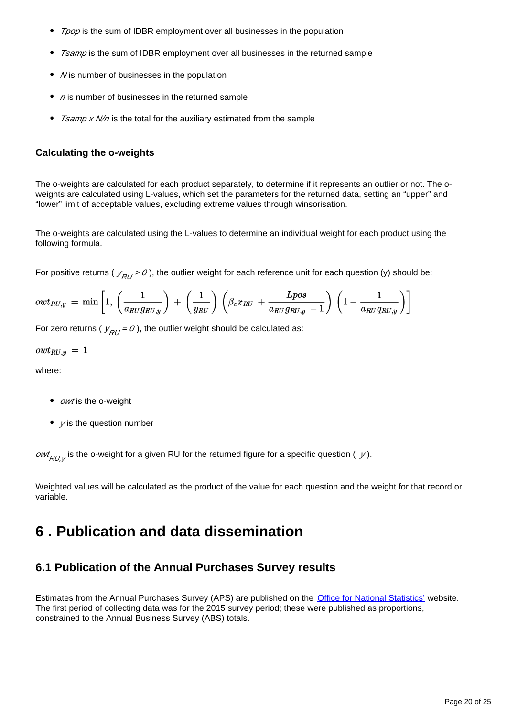- Tpop is the sum of IDBR employment over all businesses in the population
- Tsamp is the sum of IDBR employment over all businesses in the returned sample
- $\bullet$  *N* is number of businesses in the population
- $\bullet$  n is number of businesses in the returned sample
- Tsamp x N/n is the total for the auxiliary estimated from the sample

#### **Calculating the o-weights**

The o-weights are calculated for each product separately, to determine if it represents an outlier or not. The oweights are calculated using L-values, which set the parameters for the returned data, setting an "upper" and "lower" limit of acceptable values, excluding extreme values through winsorisation.

The o-weights are calculated using the L-values to determine an individual weight for each product using the following formula.

For positive returns (  $y_{RI} > 0$ ), the outlier weight for each reference unit for each question (y) should be:

$$
owt_{RU,y}\ =\ \min\left[1,\,\left(\frac{1}{a_{RU}g_{RU,y}}\right)\,+\,\left(\frac{1}{y_{RU}}\right)\,\left(\beta_c x_{RU}\,+\,\frac{Lpos}{a_{RU}g_{RU,y}\,-\,1}\right)\,\left(1-\frac{1}{a_{RU}q_{RU,y}}\right)\right]
$$

For zero returns ( $y_{RU} = 0$ ), the outlier weight should be calculated as:

$$
owt_{RU,y} \, = \, 1
$$

where:

- *owt* is the o-weight
- $\bullet$  *y* is the question number

*owt<sub>RU,y</sub>* is the o-weight for a given RU for the returned figure for a specific question (  $\,$  *y*).

Weighted values will be calculated as the product of the value for each question and the weight for that record or variable.

## <span id="page-19-0"></span>**6 . Publication and data dissemination**

## **6.1 Publication of the Annual Purchases Survey results**

Estimates from the Annual Purchases Survey (APS) are published on the [Office for National Statistics'](https://www.ons.gov.uk/) website. The first period of collecting data was for the 2015 survey period; these were published as proportions, constrained to the Annual Business Survey (ABS) totals.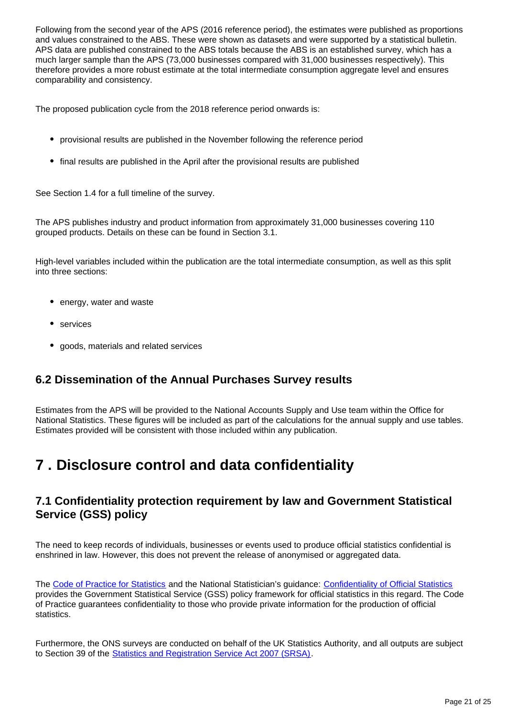Following from the second year of the APS (2016 reference period), the estimates were published as proportions and values constrained to the ABS. These were shown as datasets and were supported by a statistical bulletin. APS data are published constrained to the ABS totals because the ABS is an established survey, which has a much larger sample than the APS (73,000 businesses compared with 31,000 businesses respectively). This therefore provides a more robust estimate at the total intermediate consumption aggregate level and ensures comparability and consistency.

The proposed publication cycle from the 2018 reference period onwards is:

- provisional results are published in the November following the reference period
- final results are published in the April after the provisional results are published

See Section 1.4 for a full timeline of the survey.

The APS publishes industry and product information from approximately 31,000 businesses covering 110 grouped products. Details on these can be found in Section 3.1.

High-level variables included within the publication are the total intermediate consumption, as well as this split into three sections:

- energy, water and waste
- services
- goods, materials and related services

## **6.2 Dissemination of the Annual Purchases Survey results**

Estimates from the APS will be provided to the National Accounts Supply and Use team within the Office for National Statistics. These figures will be included as part of the calculations for the annual supply and use tables. Estimates provided will be consistent with those included within any publication.

## <span id="page-20-0"></span>**7 . Disclosure control and data confidentiality**

## **7.1 Confidentiality protection requirement by law and Government Statistical Service (GSS) policy**

The need to keep records of individuals, businesses or events used to produce official statistics confidential is enshrined in law. However, this does not prevent the release of anonymised or aggregated data.

The [Code of Practice for Statistics](https://www.statisticsauthority.gov.uk/code-of-practice/) and the National Statistician's guidance: [Confidentiality of Official Statistics](https://www.statisticsauthority.gov.uk/code-of-practice/guidance/) provides the Government Statistical Service (GSS) policy framework for official statistics in this regard. The Code of Practice guarantees confidentiality to those who provide private information for the production of official statistics.

Furthermore, the ONS surveys are conducted on behalf of the UK Statistics Authority, and all outputs are subject to Section 39 of the [Statistics and Registration Service Act 2007 \(SRSA\)](http://www.legislation.gov.uk/ukpga/2007/18/contents).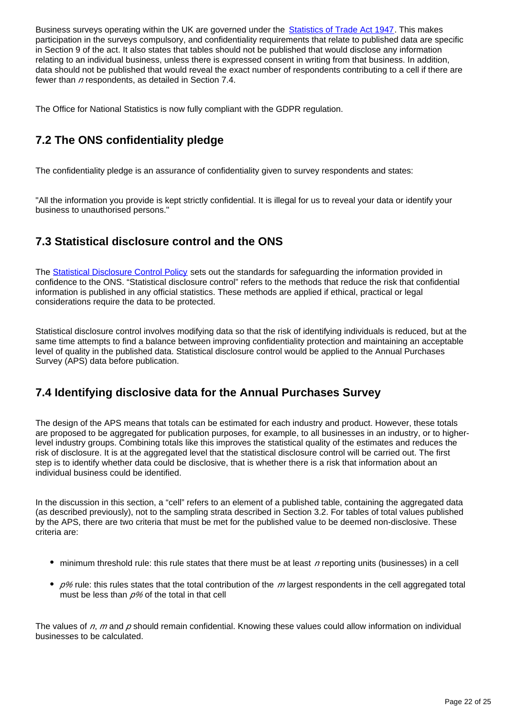Business surveys operating within the UK are governed under the **[Statistics of Trade Act 1947](https://www.legislation.gov.uk/ukpga/Geo6/10-11/39)**. This makes participation in the surveys compulsory, and confidentiality requirements that relate to published data are specific in Section 9 of the act. It also states that tables should not be published that would disclose any information relating to an individual business, unless there is expressed consent in writing from that business. In addition, data should not be published that would reveal the exact number of respondents contributing to a cell if there are fewer than  $n$  respondents, as detailed in Section 7.4.

The Office for National Statistics is now fully compliant with the GDPR regulation.

## **7.2 The ONS confidentiality pledge**

The confidentiality pledge is an assurance of confidentiality given to survey respondents and states:

"All the information you provide is kept strictly confidential. It is illegal for us to reveal your data or identify your business to unauthorised persons."

## **7.3 Statistical disclosure control and the ONS**

The [Statistical Disclosure Control Policy](https://www.ons.gov.uk/methodology/methodologytopicsandstatisticalconcepts/disclosurecontrol) sets out the standards for safeguarding the information provided in confidence to the ONS. "Statistical disclosure control" refers to the methods that reduce the risk that confidential information is published in any official statistics. These methods are applied if ethical, practical or legal considerations require the data to be protected.

Statistical disclosure control involves modifying data so that the risk of identifying individuals is reduced, but at the same time attempts to find a balance between improving confidentiality protection and maintaining an acceptable level of quality in the published data. Statistical disclosure control would be applied to the Annual Purchases Survey (APS) data before publication.

## **7.4 Identifying disclosive data for the Annual Purchases Survey**

The design of the APS means that totals can be estimated for each industry and product. However, these totals are proposed to be aggregated for publication purposes, for example, to all businesses in an industry, or to higherlevel industry groups. Combining totals like this improves the statistical quality of the estimates and reduces the risk of disclosure. It is at the aggregated level that the statistical disclosure control will be carried out. The first step is to identify whether data could be disclosive, that is whether there is a risk that information about an individual business could be identified.

In the discussion in this section, a "cell" refers to an element of a published table, containing the aggregated data (as described previously), not to the sampling strata described in Section 3.2. For tables of total values published by the APS, there are two criteria that must be met for the published value to be deemed non-disclosive. These criteria are:

- $\bullet$  minimum threshold rule: this rule states that there must be at least n reporting units (businesses) in a cell
- $p$ % rule: this rules states that the total contribution of the m largest respondents in the cell aggregated total must be less than  $p$ % of the total in that cell

The values of  $n$ , m and  $p$  should remain confidential. Knowing these values could allow information on individual businesses to be calculated.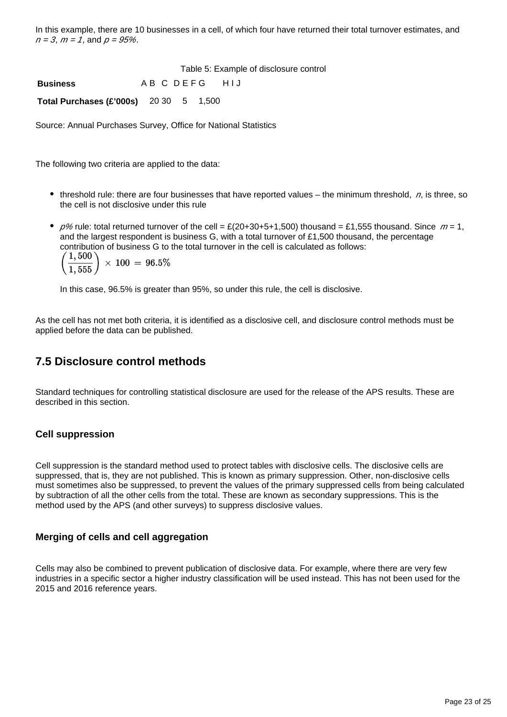In this example, there are 10 businesses in a cell, of which four have returned their total turnover estimates, and  $n = 3$ ,  $m = 1$ , and  $p = 95\%$ .

|                                               |                   |  | Table 5: Example of disclosure control |
|-----------------------------------------------|-------------------|--|----------------------------------------|
| <b>Business</b>                               | A B C D E F G HIJ |  |                                        |
| <b>Total Purchases (£'000s)</b> 20 30 5 1,500 |                   |  |                                        |

Source: Annual Purchases Survey, Office for National Statistics

The following two criteria are applied to the data:

- threshold rule: there are four businesses that have reported values the minimum threshold,  $n$ , is three, so the cell is not disclosive under this rule
- $p$ % rule: total returned turnover of the cell = £(20+30+5+1,500) thousand = £1,555 thousand. Since  $m = 1$ , and the largest respondent is business G, with a total turnover of £1,500 thousand, the percentage contribution of business G to the total turnover in the cell is calculated as follows:

1,500  $\times 100 = 96.5\%$ 

In this case, 96.5% is greater than 95%, so under this rule, the cell is disclosive.

As the cell has not met both criteria, it is identified as a disclosive cell, and disclosure control methods must be applied before the data can be published.

### **7.5 Disclosure control methods**

Standard techniques for controlling statistical disclosure are used for the release of the APS results. These are described in this section.

#### **Cell suppression**

Cell suppression is the standard method used to protect tables with disclosive cells. The disclosive cells are suppressed, that is, they are not published. This is known as primary suppression. Other, non-disclosive cells must sometimes also be suppressed, to prevent the values of the primary suppressed cells from being calculated by subtraction of all the other cells from the total. These are known as secondary suppressions. This is the method used by the APS (and other surveys) to suppress disclosive values.

#### **Merging of cells and cell aggregation**

Cells may also be combined to prevent publication of disclosive data. For example, where there are very few industries in a specific sector a higher industry classification will be used instead. This has not been used for the 2015 and 2016 reference years.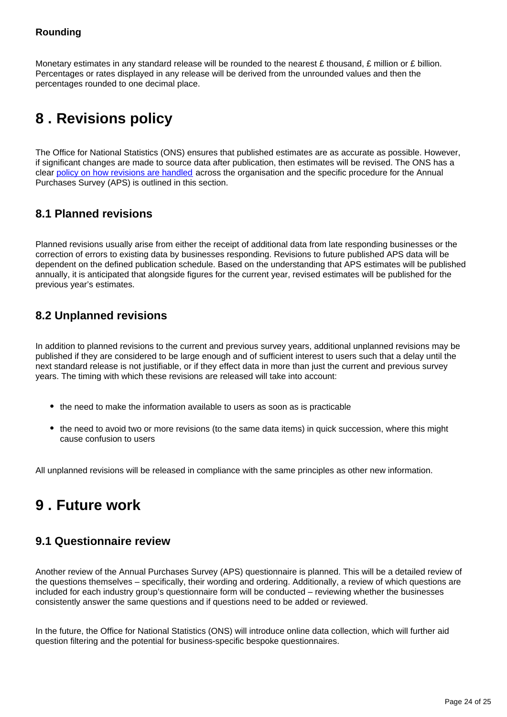#### **Rounding**

Monetary estimates in any standard release will be rounded to the nearest £ thousand, £ million or £ billion. Percentages or rates displayed in any release will be derived from the unrounded values and then the percentages rounded to one decimal place.

## <span id="page-23-0"></span>**8 . Revisions policy**

The Office for National Statistics (ONS) ensures that published estimates are as accurate as possible. However, if significant changes are made to source data after publication, then estimates will be revised. The ONS has a clear [policy on how revisions are handled](https://www.ons.gov.uk/methodology/methodologytopicsandstatisticalconcepts/revisions) across the organisation and the specific procedure for the Annual Purchases Survey (APS) is outlined in this section.

### **8.1 Planned revisions**

Planned revisions usually arise from either the receipt of additional data from late responding businesses or the correction of errors to existing data by businesses responding. Revisions to future published APS data will be dependent on the defined publication schedule. Based on the understanding that APS estimates will be published annually, it is anticipated that alongside figures for the current year, revised estimates will be published for the previous year's estimates.

## **8.2 Unplanned revisions**

In addition to planned revisions to the current and previous survey years, additional unplanned revisions may be published if they are considered to be large enough and of sufficient interest to users such that a delay until the next standard release is not justifiable, or if they effect data in more than just the current and previous survey years. The timing with which these revisions are released will take into account:

- the need to make the information available to users as soon as is practicable
- the need to avoid two or more revisions (to the same data items) in quick succession, where this might cause confusion to users

All unplanned revisions will be released in compliance with the same principles as other new information.

## <span id="page-23-1"></span>**9 . Future work**

### **9.1 Questionnaire review**

Another review of the Annual Purchases Survey (APS) questionnaire is planned. This will be a detailed review of the questions themselves – specifically, their wording and ordering. Additionally, a review of which questions are included for each industry group's questionnaire form will be conducted – reviewing whether the businesses consistently answer the same questions and if questions need to be added or reviewed.

In the future, the Office for National Statistics (ONS) will introduce online data collection, which will further aid question filtering and the potential for business-specific bespoke questionnaires.